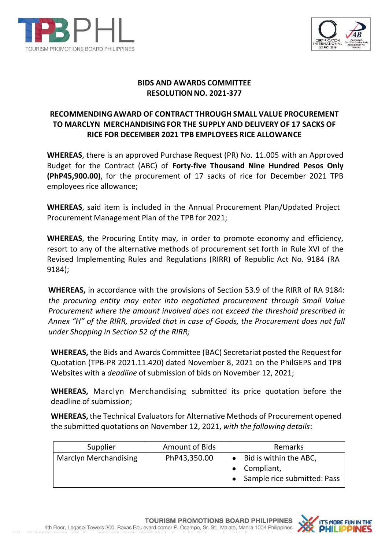



## **BIDS AND AWARDS COMMITTEE RESOLUTION NO. 2021-377**

## **RECOMMENDING AWARD OF CONTRACT THROUGH SMALL VALUE PROCUREMENT TO MARCLYN MERCHANDISINGFOR THE SUPPLY AND DELIVERY OF 17 SACKS OF RICE FOR DECEMBER 2021 TPB EMPLOYEES RICE ALLOWANCE**

**WHEREAS**, there is an approved Purchase Request (PR) No. 11.005 with an Approved Budget for the Contract (ABC) of **Forty-five Thousand Nine Hundred Pesos Only (PhP45,900.00)**, for the procurement of 17 sacks of rice for December 2021 TPB employees rice allowance;

**WHEREAS**, said item is included in the Annual Procurement Plan/Updated Project Procurement Management Plan of the TPB for 2021;

**WHEREAS**, the Procuring Entity may, in order to promote economy and efficiency, resort to any of the alternative methods of procurement set forth in Rule XVI of the Revised Implementing Rules and Regulations (RIRR) of Republic Act No. 9184 (RA 9184);

**WHEREAS,** in accordance with the provisions of Section 53.9 of the RIRR of RA 9184: *the procuring entity may enter into negotiated procurement through Small Value Procurement where the amount involved does not exceed the threshold prescribed in Annex "H" of the RIRR, provided that in case of Goods, the Procurement does not fall under Shopping in Section 52 of the RIRR;*

**WHEREAS,** the Bids and Awards Committee (BAC) Secretariat posted the Request for Quotation (TPB-PR 2021.11.420) dated November 8, 2021 on the PhilGEPS and TPB Websites with a *deadline* of submission of bids on November 12, 2021;

**WHEREAS,** Marclyn Merchandising submitted its price quotation before the deadline of submission;

**WHEREAS,** the Technical Evaluatorsfor Alternative Methods of Procurement opened the submitted quotations on November 12, 2021, *with the following details*:

| Supplier                     | <b>Amount of Bids</b> | Remarks                                                               |  |
|------------------------------|-----------------------|-----------------------------------------------------------------------|--|
| <b>Marclyn Merchandising</b> | PhP43,350.00          | • Bid is within the ABC,<br>Compliant,<br>Sample rice submitted: Pass |  |